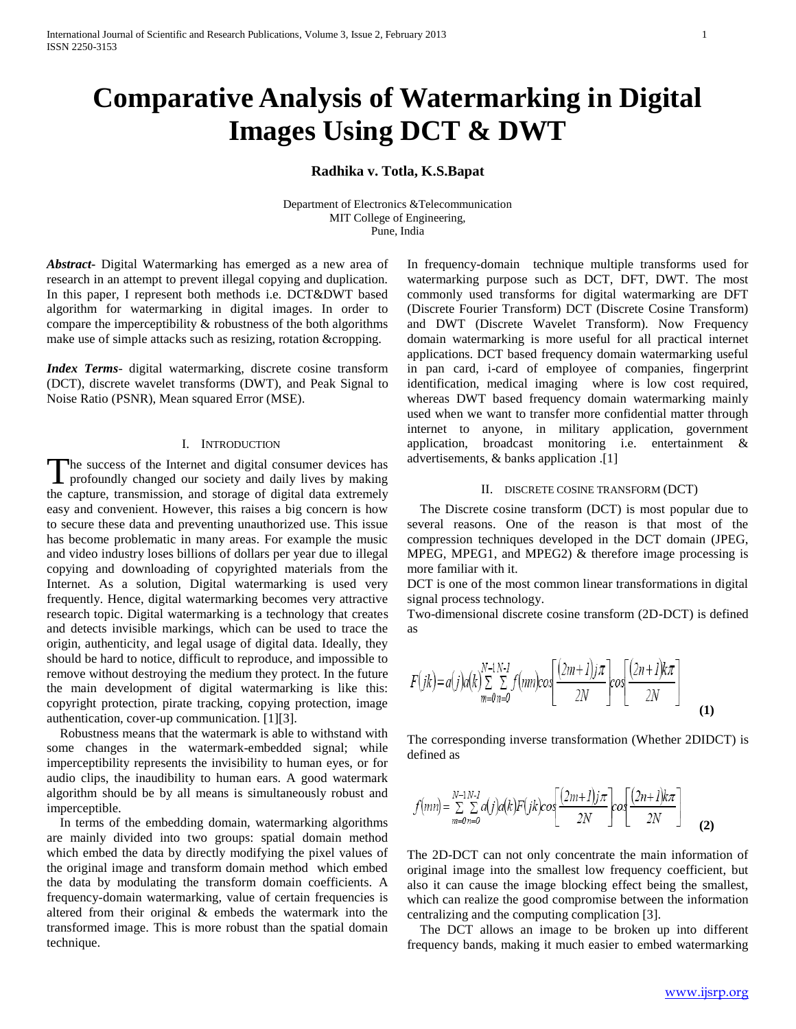# **Comparative Analysis of Watermarking in Digital Images Using DCT & DWT**

# **Radhika v. Totla, K.S.Bapat**

Department of Electronics &Telecommunication MIT College of Engineering, Pune, India

*Abstract***-** Digital Watermarking has emerged as a new area of research in an attempt to prevent illegal copying and duplication. In this paper, I represent both methods i.e. DCT&DWT based algorithm for watermarking in digital images. In order to compare the imperceptibility & robustness of the both algorithms make use of simple attacks such as resizing, rotation &cropping.

*Index Terms*- digital watermarking, discrete cosine transform (DCT), discrete wavelet transforms (DWT), and Peak Signal to Noise Ratio (PSNR), Mean squared Error (MSE).

## I. INTRODUCTION

he success of the Internet and digital consumer devices has The success of the Internet and digital consumer devices has profoundly changed our society and daily lives by making the capture, transmission, and storage of digital data extremely easy and convenient. However, this raises a big concern is how to secure these data and preventing unauthorized use. This issue has become problematic in many areas. For example the music and video industry loses billions of dollars per year due to illegal copying and downloading of copyrighted materials from the Internet. As a solution, Digital watermarking is used very frequently. Hence, digital watermarking becomes very attractive research topic. Digital watermarking is a technology that creates and detects invisible markings, which can be used to trace the origin, authenticity, and legal usage of digital data. Ideally, they should be hard to notice, difficult to reproduce, and impossible to remove without destroying the medium they protect. In the future the main development of digital watermarking is like this: copyright protection, pirate tracking, copying protection, image authentication, cover-up communication. [1][3].

 Robustness means that the watermark is able to withstand with some changes in the watermark-embedded signal; while imperceptibility represents the invisibility to human eyes, or for audio clips, the inaudibility to human ears. A good watermark algorithm should be by all means is simultaneously robust and imperceptible.

 In terms of the embedding domain, watermarking algorithms are mainly divided into two groups: spatial domain method which embed the data by directly modifying the pixel values of the original image and transform domain method which embed the data by modulating the transform domain coefficients. A frequency-domain watermarking, value of certain frequencies is altered from their original & embeds the watermark into the transformed image. This is more robust than the spatial domain technique.

In frequency-domain technique multiple transforms used for watermarking purpose such as DCT, DFT, DWT. The most commonly used transforms for digital watermarking are DFT (Discrete Fourier Transform) DCT (Discrete Cosine Transform) and DWT (Discrete Wavelet Transform). Now Frequency domain watermarking is more useful for all practical internet applications. DCT based frequency domain watermarking useful in pan card, i-card of employee of companies, fingerprint identification, medical imaging where is low cost required, whereas DWT based frequency domain watermarking mainly used when we want to transfer more confidential matter through internet to anyone, in military application, government application, broadcast monitoring i.e. entertainment & advertisements, & banks application .[1]

## II. DISCRETE COSINE TRANSFORM (DCT)

 The Discrete cosine transform (DCT) is most popular due to several reasons. One of the reason is that most of the compression techniques developed in the DCT domain (JPEG, MPEG, MPEG1, and MPEG2) & therefore image processing is more familiar with it.

DCT is one of the most common linear transformations in digital signal process technology.

Two-dimensional discrete cosine transform (2D-DCT) is defined as

$$
F(jk) = a(j)a(k)\sum_{m=0}^{N-1}\sum_{n=0}^{N-1} f(mn)cos\left[\frac{(2m+1)j\pi}{2N}\right]cos\left[\frac{(2n+1)k\pi}{2N}\right]
$$
(1)

The corresponding inverse transformation (Whether 2DIDCT) is defined as

$$
f(mn) = \sum_{m=0}^{N-1} \sum_{n=0}^{N-1} a(j)a(k)F(jk)cos\left(\frac{(2m+1)j\pi}{2N}\right)cos\left(\frac{(2n+1)k\pi}{2N}\right)
$$
(2)

The 2D-DCT can not only concentrate the main information of original image into the smallest low frequency coefficient, but also it can cause the image blocking effect being the smallest, which can realize the good compromise between the information centralizing and the computing complication [3].

 The DCT allows an image to be broken up into different frequency bands, making it much easier to embed watermarking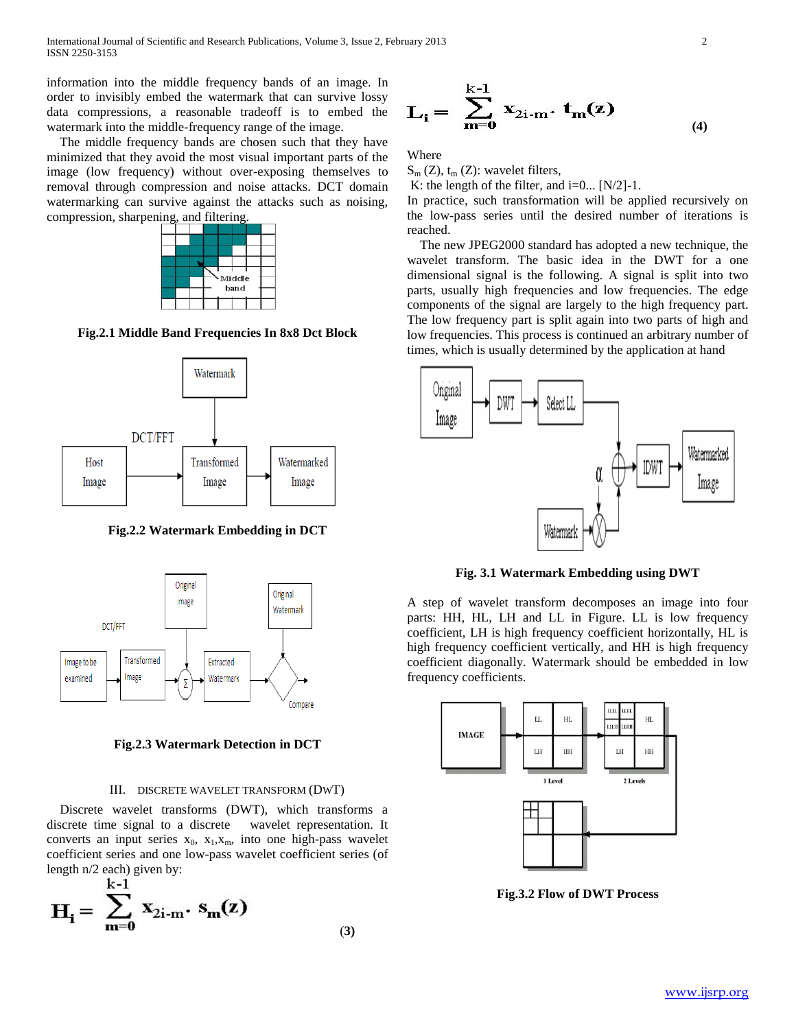information into the middle frequency bands of an image. In order to invisibly embed the watermark that can survive lossy data compressions, a reasonable tradeoff is to embed the watermark into the middle-frequency range of the image.

 The middle frequency bands are chosen such that they have minimized that they avoid the most visual important parts of the image (low frequency) without over-exposing themselves to removal through compression and noise attacks. DCT domain watermarking can survive against the attacks such as noising, compression, sharpening, and filtering.



**Fig.2.1 Middle Band Frequencies In 8x8 Dct Block**



**Fig.2.2 Watermark Embedding in DCT**



**Fig.2.3 Watermark Detection in DCT**

#### III. DISCRETE WAVELET TRANSFORM (DWT)

 Discrete wavelet transforms (DWT), which transforms a discrete time signal to a discrete wavelet representation. It converts an input series  $x_0$ ,  $x_1, x_m$ , into one high-pass wavelet coefficient series and one low-pass wavelet coefficient series (of length n/2 each) given by:<br> $\frac{1}{2}$ 

$$
H_{i} = \sum_{m=0}^{K-1} x_{2i-m} \cdot s_{m}(z)
$$
 (3)

$$
\mathbf{L_i} = \sum_{m=0}^{k-1} \mathbf{x}_{2i-m} \cdot \mathbf{t_m}(z) \tag{4}
$$

Where

 $S_m$  (Z),  $t_m$  (Z): wavelet filters,

K: the length of the filter, and  $i=0...$  [N/2]-1.

In practice, such transformation will be applied recursively on the low-pass series until the desired number of iterations is reached.

 The new JPEG2000 standard has adopted a new technique, the wavelet transform. The basic idea in the DWT for a one dimensional signal is the following. A signal is split into two parts, usually high frequencies and low frequencies. The edge components of the signal are largely to the high frequency part. The low frequency part is split again into two parts of high and low frequencies. This process is continued an arbitrary number of times, which is usually determined by the application at hand



**Fig. 3.1 Watermark Embedding using DWT**

A step of wavelet transform decomposes an image into four parts: HH, HL, LH and LL in Figure. LL is low frequency coefficient, LH is high frequency coefficient horizontally, HL is high frequency coefficient vertically, and HH is high frequency coefficient diagonally. Watermark should be embedded in low frequency coefficients.



**Fig.3.2 Flow of DWT Process**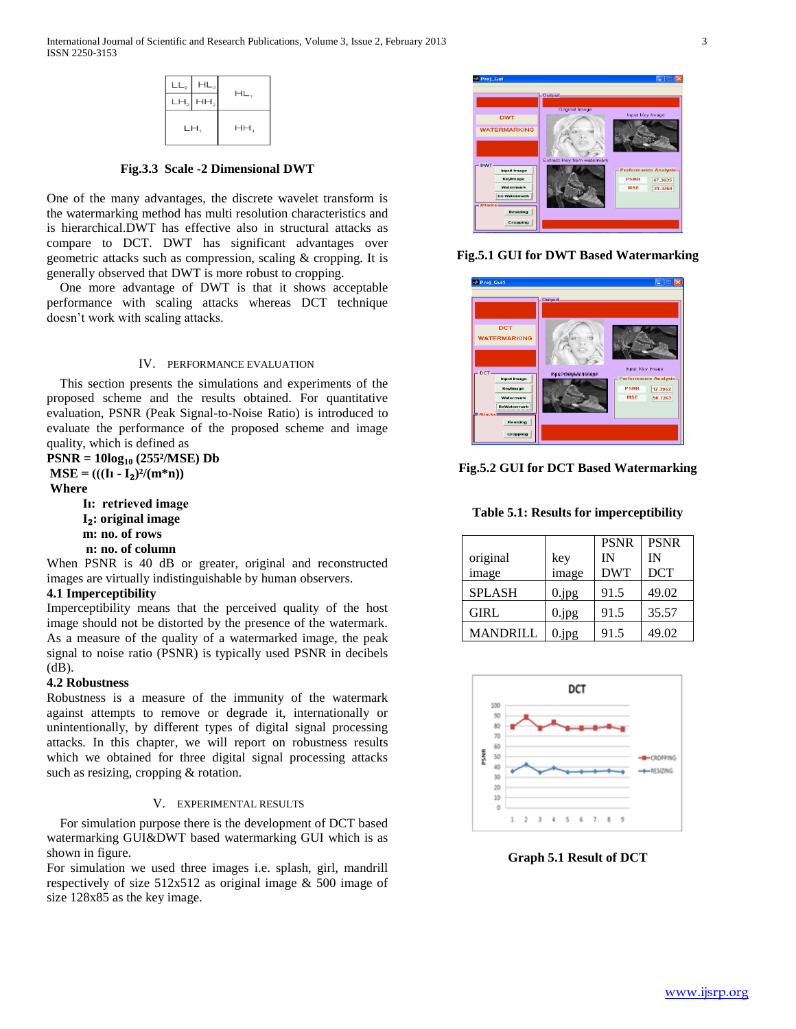| LL <sub>2</sub><br>LH <sub>2</sub> | $HL_2$<br>HH <sub>2</sub> | HL, |
|------------------------------------|---------------------------|-----|
| LH,                                |                           | HH, |

**Fig.3.3 Scale -2 Dimensional DWT**

One of the many advantages, the discrete wavelet transform is the watermarking method has multi resolution characteristics and is hierarchical.DWT has effective also in structural attacks as compare to DCT. DWT has significant advantages over geometric attacks such as compression, scaling & cropping. It is generally observed that DWT is more robust to cropping.

 One more advantage of DWT is that it shows acceptable performance with scaling attacks whereas DCT technique doesn't work with scaling attacks.

## IV. PERFORMANCE EVALUATION

 This section presents the simulations and experiments of the proposed scheme and the results obtained. For quantitative evaluation, PSNR (Peak Signal-to-Noise Ratio) is introduced to evaluate the performance of the proposed scheme and image quality, which is defined as

**PSNR = 10log<sup>10</sup> (255²/MSE) Db**  $MSE = (((I_1 - I_2)^2/(m*n))$ 

**Where**

 **Iı: retrieved image I**₂**: original image m: no. of rows n: no. of column** 

When PSNR is 40 dB or greater, original and reconstructed images are virtually indistinguishable by human observers.

# **4.1 Imperceptibility**

Imperceptibility means that the perceived quality of the host image should not be distorted by the presence of the watermark. As a measure of the quality of a watermarked image, the peak signal to noise ratio (PSNR) is typically used PSNR in decibels (dB).

# **4.2 Robustness**

Robustness is a measure of the immunity of the watermark against attempts to remove or degrade it, internationally or unintentionally, by different types of digital signal processing attacks. In this chapter, we will report on robustness results which we obtained for three digital signal processing attacks such as resizing, cropping & rotation.

# V. EXPERIMENTAL RESULTS

 For simulation purpose there is the development of DCT based watermarking GUI&DWT based watermarking GUI which is as shown in figure.

For simulation we used three images i.e. splash, girl, mandrill respectively of size 512x512 as original image & 500 image of size 128x85 as the key image.



**Fig.5.1 GUI for DWT Based Watermarking**



**Fig.5.2 GUI for DCT Based Watermarking**

**Table 5.1: Results for imperceptibility**

|                 |          | <b>PSNR</b> | <b>PSNR</b> |
|-----------------|----------|-------------|-------------|
| original        | key      | IN          | IN          |
| image           | image    | <b>DWT</b>  | <b>DCT</b>  |
| <b>SPLASH</b>   | 0.jpg    | 91.5        | 49.02       |
| GIRL            | $0$ .jpg | 91.5        | 35.57       |
| <b>MANDRILL</b> | 0.jpg    | 91.5        | 49.02       |



**Graph 5.1 Result of DCT**